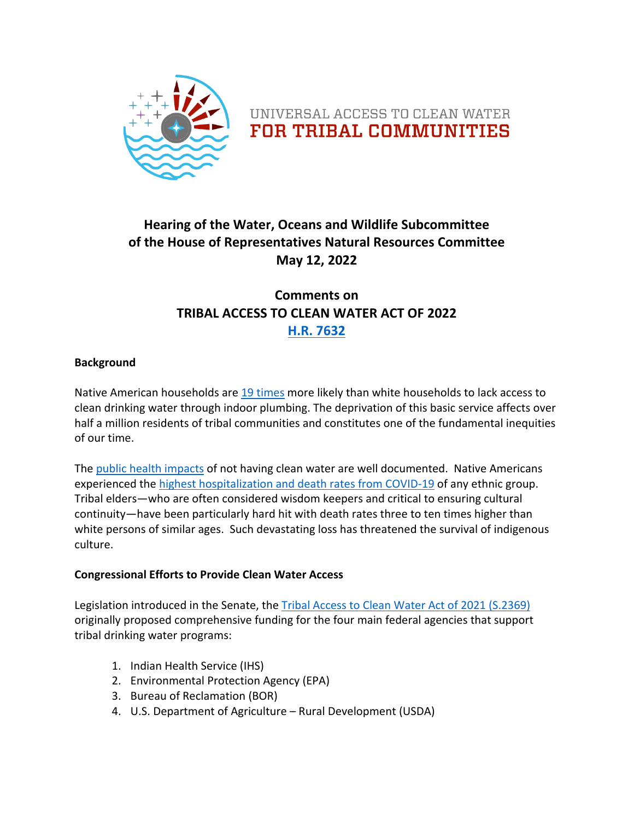



## **Hearing of the Water, Oceans and Wildlife Subcommittee of the House of Representatives Natural Resources Committee May 12, 2022**

### **Comments on TRIBAL ACCESS TO CLEAN WATER ACT OF 2022 [H.R. 7632](https://www.congress.gov/bill/117th-congress/house-bill/7632?r=1&s=1)**

#### **Background**

Native American households are [19 times](http://uswateralliance.org/sites/uswateralliance.org/files/publications/Closing%20the%20Water%20Access%20Gap%20in%20the%20United%20States_DIGITAL.pdf) more likely than white households to lack access to clean drinking water through indoor plumbing. The deprivation of this basic service affects over half a million residents of tribal communities and constitutes one of the fundamental inequities of our time.

The [public health impacts](https://www.who.int/news-room/fact-sheets/detail/drinking-water) of not having clean water are well documented. Native Americans experienced the [highest hospitalization and death rates from COVID-19](https://www.cdc.gov/coronavirus/2019-ncov/covid-data/investigations-discovery/hospitalization-death-by-race-ethnicity.html) of any ethnic group. Tribal elders—who are often considered wisdom keepers and critical to ensuring cultural continuity—have been particularly hard hit with death rates three to ten times higher than white persons of similar ages. Such devastating loss has threatened the survival of indigenous culture.

#### **Congressional Efforts to Provide Clean Water Access**

Legislation introduced in the Senate, the [Tribal Access to Clean Water Act of 2021 \(S.2369\)](https://www.congress.gov/bill/117th-congress/senate-bill/2369) originally proposed comprehensive funding for the four main federal agencies that support tribal drinking water programs:

- 1. Indian Health Service (IHS)
- 2. Environmental Protection Agency (EPA)
- 3. Bureau of Reclamation (BOR)
- 4. U.S. Department of Agriculture Rural Development (USDA)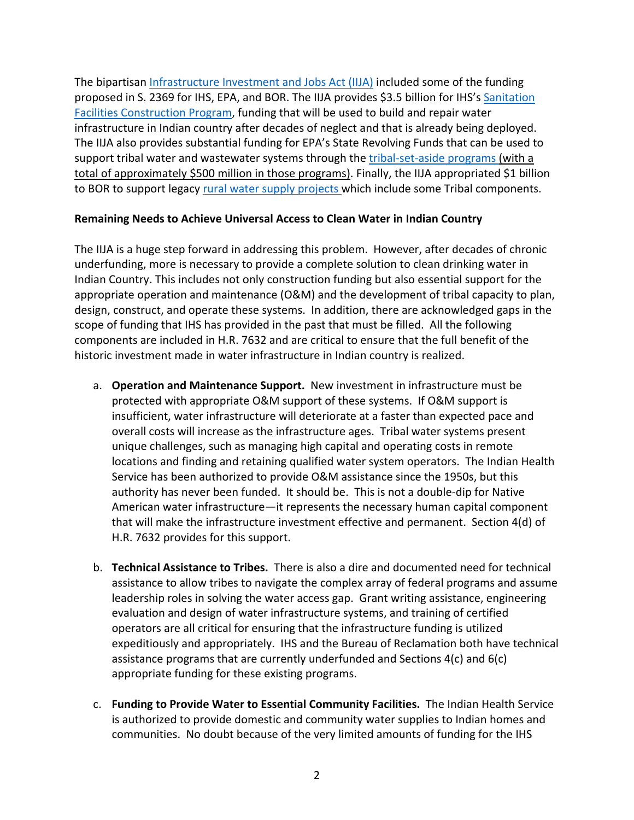The bipartisan [Infrastructure Investment and Jobs Act \(IIJA\)](https://www.congress.gov/bill/117th-congress/house-bill/3684) included some of the funding proposed in S. 2369 for IHS, EPA, and BOR. The IIJA provides \$3.5 billion for IHS's [Sanitation](https://www.ihs.gov/dsfc/)  [Facilities Construction Program,](https://www.ihs.gov/dsfc/) funding that will be used to build and repair water infrastructure in Indian country after decades of neglect and that is already being deployed. The IIJA also provides substantial funding for EPA's State Revolving Funds that can be used to support tribal water and wastewater systems through the [tribal-set-aside programs](https://www.epa.gov/tribaldrinkingwater/drinking-water-infrastructure-grants-tribal-set-aside-program) (with a total of approximately \$500 million in those programs). Finally, the IIJA appropriated \$1 billion to BOR to support legacy [rural water supply projects](https://www.usbr.gov/bil/docs/spendplan-2022/Reclamation-BIL_Spend_Plan_2022.pdf) which include some Tribal components.

#### **Remaining Needs to Achieve Universal Access to Clean Water in Indian Country**

The IIJA is a huge step forward in addressing this problem. However, after decades of chronic underfunding, more is necessary to provide a complete solution to clean drinking water in Indian Country. This includes not only construction funding but also essential support for the appropriate operation and maintenance (O&M) and the development of tribal capacity to plan, design, construct, and operate these systems. In addition, there are acknowledged gaps in the scope of funding that IHS has provided in the past that must be filled. All the following components are included in H.R. 7632 and are critical to ensure that the full benefit of the historic investment made in water infrastructure in Indian country is realized.

- a. **Operation and Maintenance Support.** New investment in infrastructure must be protected with appropriate O&M support of these systems. If O&M support is insufficient, water infrastructure will deteriorate at a faster than expected pace and overall costs will increase as the infrastructure ages. Tribal water systems present unique challenges, such as managing high capital and operating costs in remote locations and finding and retaining qualified water system operators. The Indian Health Service has been authorized to provide O&M assistance since the 1950s, but this authority has never been funded. It should be. This is not a double-dip for Native American water infrastructure—it represents the necessary human capital component that will make the infrastructure investment effective and permanent. Section 4(d) of H.R. 7632 provides for this support.
- b. **Technical Assistance to Tribes.** There is also a dire and documented need for technical assistance to allow tribes to navigate the complex array of federal programs and assume leadership roles in solving the water access gap. Grant writing assistance, engineering evaluation and design of water infrastructure systems, and training of certified operators are all critical for ensuring that the infrastructure funding is utilized expeditiously and appropriately. IHS and the Bureau of Reclamation both have technical assistance programs that are currently underfunded and Sections 4(c) and 6(c) appropriate funding for these existing programs.
- c. **Funding to Provide Water to Essential Community Facilities.** The Indian Health Service is authorized to provide domestic and community water supplies to Indian homes and communities. No doubt because of the very limited amounts of funding for the IHS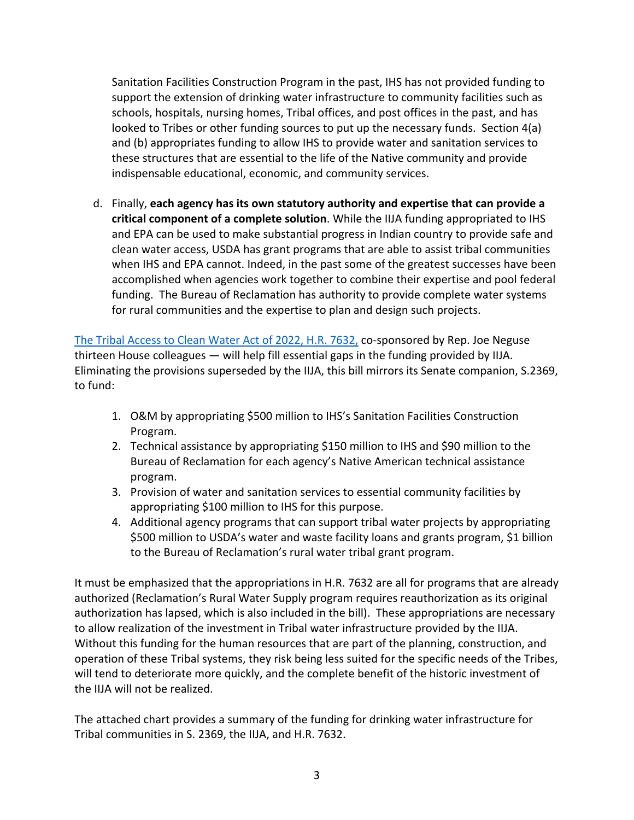Sanitation Facilities Construction Program in the past, IHS has not provided funding to support the extension of drinking water infrastructure to community facilities such as schools, hospitals, nursing homes, Tribal offices, and post offices in the past, and has looked to Tribes or other funding sources to put up the necessary funds. Section 4(a) and (b) appropriates funding to allow IHS to provide water and sanitation services to these structures that are essential to the life of the Native community and provide indispensable educational, economic, and community services.

d. Finally, **each agency has its own statutory authority and expertise that can provide a critical component of a complete solution**. While the IIJA funding appropriated to IHS and EPA can be used to make substantial progress in Indian country to provide safe and clean water access, USDA has grant programs that are able to assist tribal communities when IHS and EPA cannot. Indeed, in the past some of the greatest successes have been accomplished when agencies work together to combine their expertise and pool federal funding. The Bureau of Reclamation has authority to provide complete water systems for rural communities and the expertise to plan and design such projects.

[The Tribal Access to Clean Water Act of 2022, H.R. 7632,](https://www.congress.gov/bill/117th-congress/house-bill/7632?r=1&s=1) co-sponsored by Rep. Joe Neguse thirteen House colleagues — will help fill essential gaps in the funding provided by IIJA. Eliminating the provisions superseded by the IIJA, this bill mirrors its Senate companion, S.2369, to fund:

- 1. O&M by appropriating \$500 million to IHS's Sanitation Facilities Construction Program.
- 2. Technical assistance by appropriating \$150 million to IHS and \$90 million to the Bureau of Reclamation for each agency's Native American technical assistance program.
- 3. Provision of water and sanitation services to essential community facilities by appropriating \$100 million to IHS for this purpose.
- 4. Additional agency programs that can support tribal water projects by appropriating \$500 million to USDA's water and waste facility loans and grants program, \$1 billion to the Bureau of Reclamation's rural water tribal grant program.

It must be emphasized that the appropriations in H.R. 7632 are all for programs that are already authorized (Reclamation's Rural Water Supply program requires reauthorization as its original authorization has lapsed, which is also included in the bill). These appropriations are necessary to allow realization of the investment in Tribal water infrastructure provided by the IIJA. Without this funding for the human resources that are part of the planning, construction, and operation of these Tribal systems, they risk being less suited for the specific needs of the Tribes, will tend to deteriorate more quickly, and the complete benefit of the historic investment of the IIJA will not be realized.

The attached chart provides a summary of the funding for drinking water infrastructure for Tribal communities in S. 2369, the IIJA, and H.R. 7632.